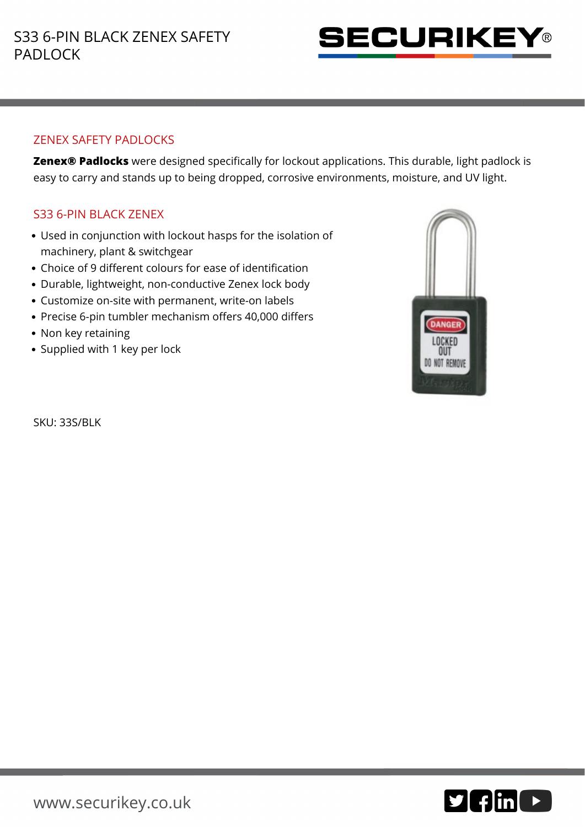

## ZENEX SAFETY PADLOCKS

**Zenex® Padlocks** were designed specifically for lockout applications. This durable, light padlock is easy to carry and stands up to being dropped, corrosive environments, moisture, and UV light.

## S33 6-PIN BLACK ZENEX

- Used in conjunction with lockout hasps for the isolation of machinery, plant & switchgear
- Choice of 9 different colours for ease of identification
- Durable, lightweight, non-conductive Zenex lock body
- Customize on-site with permanent, write-on labels
- Precise 6-pin tumbler mechanism offers 40,000 differs
- Non key retaining
- Supplied with 1 key per lock

**DANGER** LOCKED OUT DO NOT REMOVE

SKU: 33S/BLK

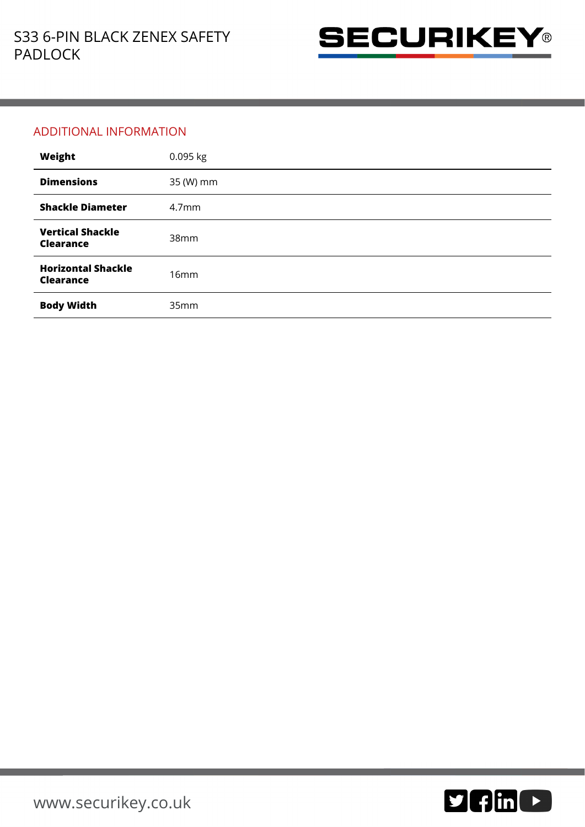

## ADDITIONAL INFORMATION

| Weight                                        | 0.095 kg          |
|-----------------------------------------------|-------------------|
| <b>Dimensions</b>                             | 35 (W) mm         |
| <b>Shackle Diameter</b>                       | 4.7 <sub>mm</sub> |
| <b>Vertical Shackle</b><br><b>Clearance</b>   | 38 <sub>mm</sub>  |
| <b>Horizontal Shackle</b><br><b>Clearance</b> | 16mm              |
| <b>Body Width</b>                             | 35mm              |

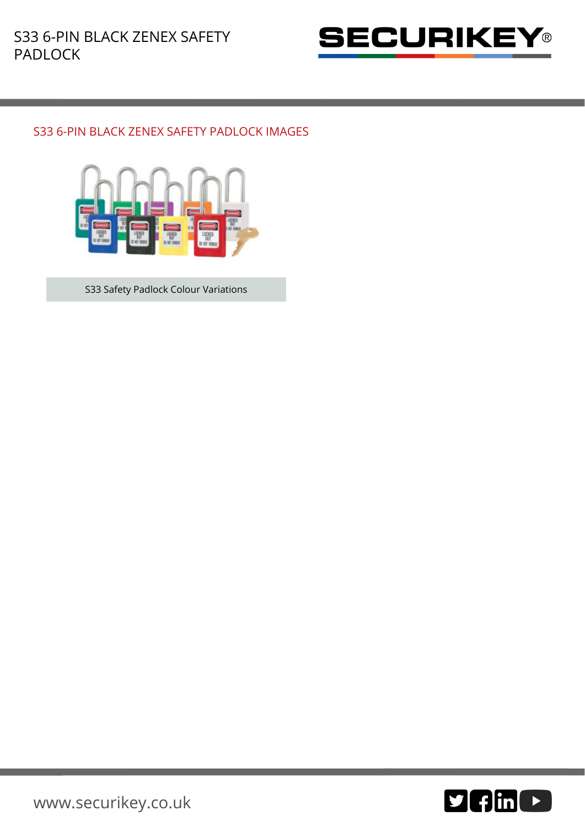

## S33 6-PIN BLACK ZENEX SAFETY PADLOCK IMAGES



S33 Safety Padlock Colour Variations